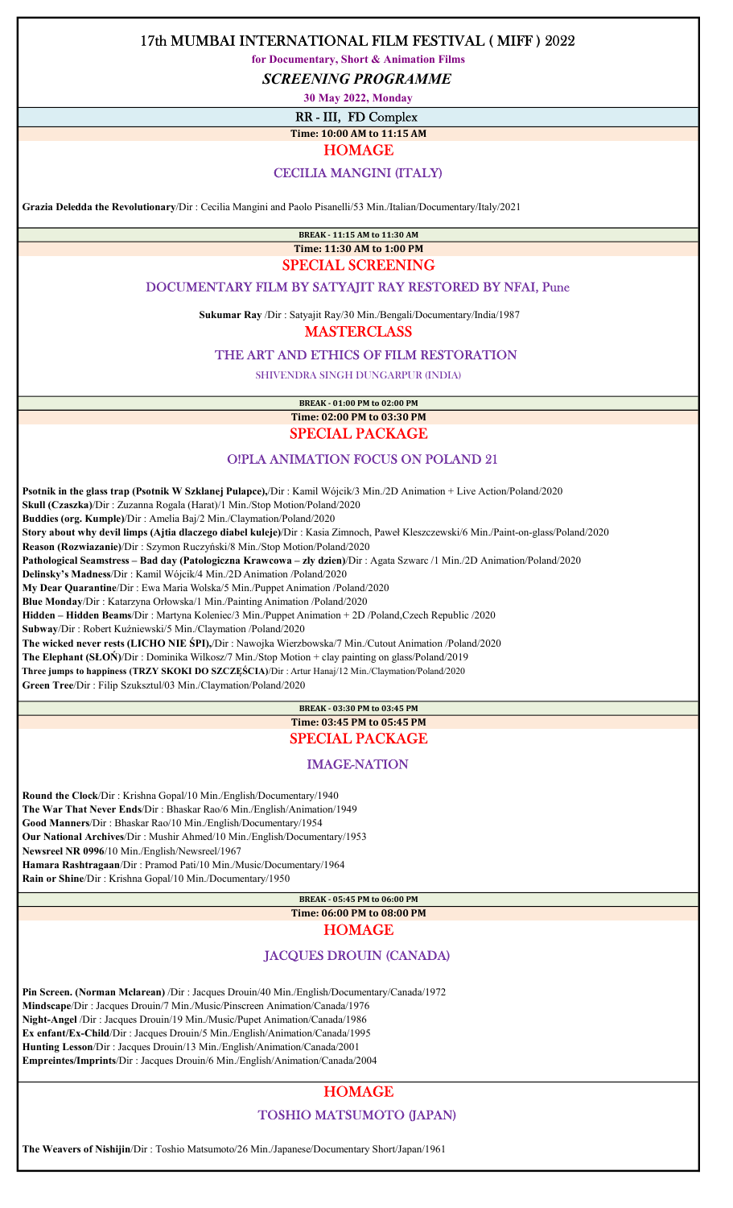for Documentary, Short & Animation Films

SCREENING PROGRAMME

30 May 2022, Monday

RR - III, FD Complex

Time: 10:00 AM to 11:15 AM

HOMAGE

### CECILIA MANGINI (ITALY)

Grazia Deledda the Revolutionary/Dir : Cecilia Mangini and Paolo Pisanelli/53 Min./Italian/Documentary/Italy/2021

BREAK - 11:15 AM to 11:30 AM

### Time: 11:30 AM to 1:00 PM SPECIAL SCREENING

### DOCUMENTARY FILM BY SATYAJIT RAY RESTORED BY NFAI, Pune

Sukumar Ray /Dir : Satyajit Ray/30 Min./Bengali/Documentary/India/1987

**MASTERCLASS** 

### THE ART AND ETHICS OF FILM RESTORATION

SHIVENDRA SINGH DUNGARPUR (INDIA)

BREAK - 01:00 PM to 02:00 PM Time: 02:00 PM to 03:30 PM SPECIAL PACKAGE

# O!PLA ANIMATION FOCUS ON POLAND 21

 Psotnik in the glass trap (Psotnik W Szklanej Pulapce),/Dir : Kamil Wójcik/3 Min./2D Animation + Live Action/Poland/2020 Skull (Czaszka)/Dir : Zuzanna Rogala (Harat)/1 Min./Stop Motion/Poland/2020 Buddies (org. Kumple)/Dir : Amelia Baj/2 Min./Claymation/Poland/2020 Story about why devil limps (Ajtia dlaczego diabel kuleje)/Dir : Kasia Zimnoch, Paweł Kleszczewski/6 Min./Paint-on-glass/Poland/2020 Reason (Rozwiazanie)/Dir : Szymon Ruczyński/8 Min./Stop Motion/Poland/2020 Pathological Seamstress – Bad day (Patologiczna Krawcowa – zly dzien)/Dir : Agata Szwarc /1 Min./2D Animation/Poland/2020 Delinsky's Madness/Dir : Kamil Wójcik/4 Min./2D Animation /Poland/2020 My Dear Quarantine/Dir : Ewa Maria Wolska/5 Min./Puppet Animation /Poland/2020 Blue Monday/Dir : Katarzyna Orłowska/1 Min./Painting Animation /Poland/2020 Hidden – Hidden Beams/Dir : Martyna Koleniec/3 Min./Puppet Animation + 2D /Poland,Czech Republic /2020 Subway/Dir : Robert Kuźniewski/5 Min./Claymation /Poland/2020 The wicked never rests (LICHO NIE ŚPI),/Dir : Nawojka Wierzbowska/7 Min./Cutout Animation /Poland/2020 The Elephant (SŁOŃ)/Dir : Dominika Wilkosz/7 Min./Stop Motion + clay painting on glass/Poland/2019 Three jumps to happiness (TRZY SKOKI DO SZCZĘŚCIA)/Dir : Artur Hanaj/12 Min./Claymation/Poland/2020

Green Tree/Dir : Filip Szuksztul/03 Min./Claymation/Poland/2020

### BREAK - 03:30 PM to 03:45 PM Time: 03:45 PM to 05:45 PM SPECIAL PACKAGE

#### IMAGE-NATION

 Round the Clock/Dir : Krishna Gopal/10 Min./English/Documentary/1940 The War That Never Ends/Dir : Bhaskar Rao/6 Min./English/Animation/1949 Good Manners/Dir : Bhaskar Rao/10 Min./English/Documentary/1954 Our National Archives/Dir : Mushir Ahmed/10 Min./English/Documentary/1953 Newsreel NR 0996/10 Min./English/Newsreel/1967 Hamara Rashtragaan/Dir : Pramod Pati/10 Min./Music/Documentary/1964 Rain or Shine/Dir : Krishna Gopal/10 Min./Documentary/1950

> BREAK - 05:45 PM to 06:00 PM Time: 06:00 PM to 08:00 PM HOMAGE

### JACQUES DROUIN (CANADA)

 Pin Screen. (Norman Mclarean) /Dir : Jacques Drouin/40 Min./English/Documentary/Canada/1972 Mindscape/Dir : Jacques Drouin/7 Min./Music/Pinscreen Animation/Canada/1976 Night-Angel /Dir : Jacques Drouin/19 Min./Music/Pupet Animation/Canada/1986 Ex enfant/Ex-Child/Dir : Jacques Drouin/5 Min./English/Animation/Canada/1995 Hunting Lesson/Dir : Jacques Drouin/13 Min./English/Animation/Canada/2001 Empreintes/Imprints/Dir : Jacques Drouin/6 Min./English/Animation/Canada/2004

## **HOMAGE**

### TOSHIO MATSUMOTO (JAPAN)

The Weavers of Nishijin/Dir : Toshio Matsumoto/26 Min./Japanese/Documentary Short/Japan/1961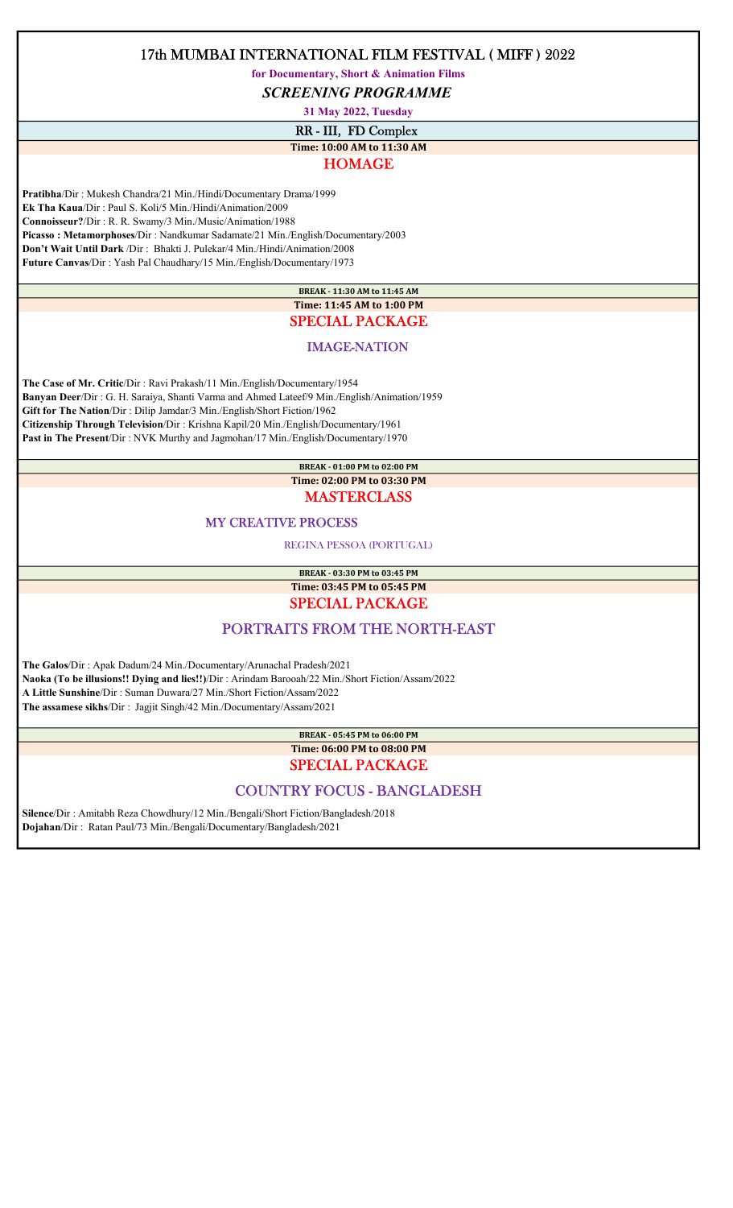for Documentary, Short & Animation Films

SCREENING PROGRAMME

31 May 2022, Tuesday

RR - III, FD Complex

# Time: 10:00 AM to 11:30 AM

## HOMAGE

 Pratibha/Dir : Mukesh Chandra/21 Min./Hindi/Documentary Drama/1999 Ek Tha Kaua/Dir : Paul S. Koli/5 Min./Hindi/Animation/2009 Connoisseur?/Dir : R. R. Swamy/3 Min./Music/Animation/1988 Picasso : Metamorphoses/Dir : Nandkumar Sadamate/21 Min./English/Documentary/2003 Don't Wait Until Dark /Dir : Bhakti J. Pulekar/4 Min./Hindi/Animation/2008 Future Canvas/Dir : Yash Pal Chaudhary/15 Min./English/Documentary/1973

> BREAK - 11:30 AM to 11:45 AM Time: 11:45 AM to 1:00 PM SPECIAL PACKAGE

### IMAGE-NATION

 The Case of Mr. Critic/Dir : Ravi Prakash/11 Min./English/Documentary/1954 Banyan Deer/Dir : G. H. Saraiya, Shanti Varma and Ahmed Lateef/9 Min./English/Animation/1959 Gift for The Nation/Dir : Dilip Jamdar/3 Min./English/Short Fiction/1962 Citizenship Through Television/Dir : Krishna Kapil/20 Min./English/Documentary/1961 Past in The Present/Dir : NVK Murthy and Jagmohan/17 Min./English/Documentary/1970

### BREAK - 01:00 PM to 02:00 PM Time: 02:00 PM to 03:30 PM

## **MASTERCLASS**

### MY CREATIVE PROCESS

REGINA PESSOA (PORTUGAL)

BREAK - 03:30 PM to 03:45 PM Time: 03:45 PM to 05:45 PM

SPECIAL PACKAGE

## PORTRAITS FROM THE NORTH-EAST

 The Galos/Dir : Apak Dadum/24 Min./Documentary/Arunachal Pradesh/2021 Naoka (To be illusions!! Dying and lies!!)/Dir : Arindam Barooah/22 Min./Short Fiction/Assam/2022 A Little Sunshine/Dir : Suman Duwara/27 Min./Short Fiction/Assam/2022 The assamese sikhs/Dir : Jagjit Singh/42 Min./Documentary/Assam/2021

> BREAK - 05:45 PM to 06:00 PM Time: 06:00 PM to 08:00 PM

# SPECIAL PACKAGE

## COUNTRY FOCUS - BANGLADESH

 Silence/Dir : Amitabh Reza Chowdhury/12 Min./Bengali/Short Fiction/Bangladesh/2018 Dojahan/Dir : Ratan Paul/73 Min./Bengali/Documentary/Bangladesh/2021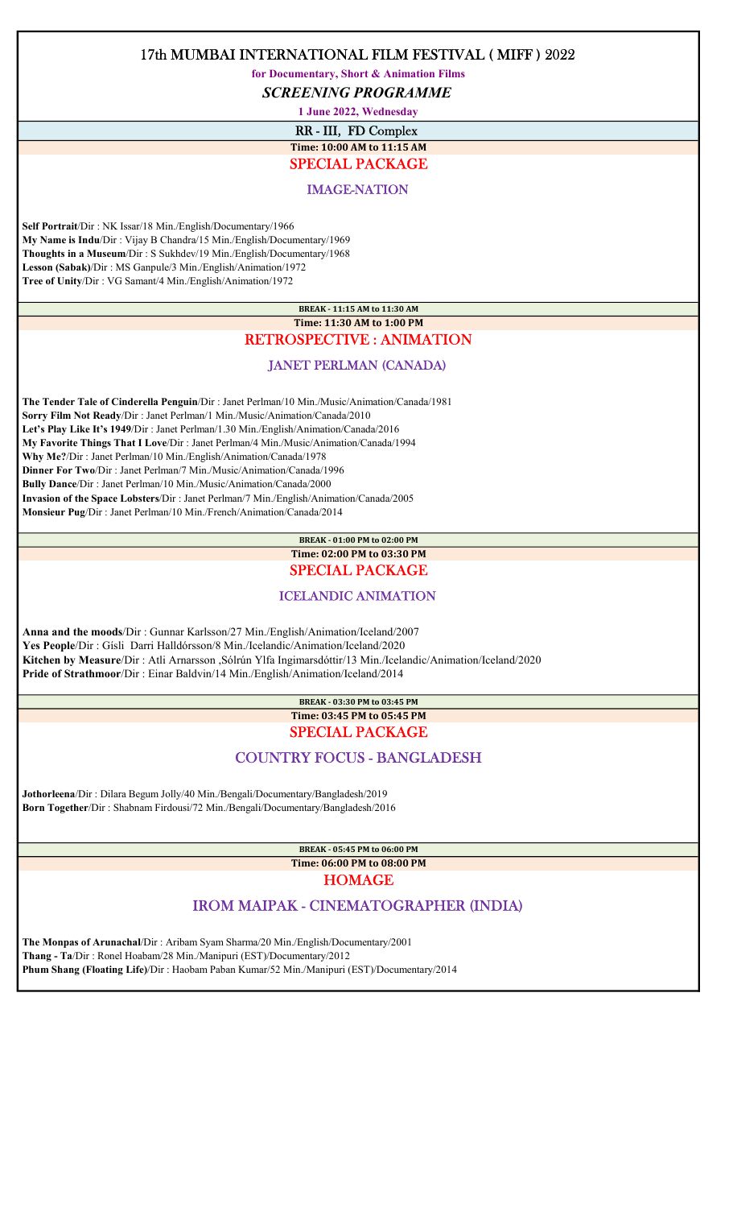for Documentary, Short & Animation Films

SCREENING PROGRAMME

1 June 2022, Wednesday

RR - III, FD Complex

### Time: 10:00 AM to 11:15 AM SPECIAL PACKAGE

## IMAGE-NATION

 Self Portrait/Dir : NK Issar/18 Min./English/Documentary/1966 My Name is Indu/Dir : Vijay B Chandra/15 Min./English/Documentary/1969 Thoughts in a Museum/Dir : S Sukhdev/19 Min./English/Documentary/1968 Lesson (Sabak)/Dir : MS Ganpule/3 Min./English/Animation/1972 Tree of Unity/Dir : VG Samant/4 Min./English/Animation/1972

## BREAK - 11:15 AM to 11:30 AM Time: 11:30 AM to 1:00 PM

## RETROSPECTIVE : ANIMATION

### JANET PERLMAN (CANADA)

 The Tender Tale of Cinderella Penguin/Dir : Janet Perlman/10 Min./Music/Animation/Canada/1981 Sorry Film Not Ready/Dir : Janet Perlman/1 Min./Music/Animation/Canada/2010 Let's Play Like It's 1949/Dir : Janet Perlman/1.30 Min./English/Animation/Canada/2016 My Favorite Things That I Love/Dir : Janet Perlman/4 Min./Music/Animation/Canada/1994 Why Me?/Dir : Janet Perlman/10 Min./English/Animation/Canada/1978 Dinner For Two/Dir : Janet Perlman/7 Min./Music/Animation/Canada/1996 Bully Dance/Dir : Janet Perlman/10 Min./Music/Animation/Canada/2000 Invasion of the Space Lobsters/Dir : Janet Perlman/7 Min./English/Animation/Canada/2005 Monsieur Pug/Dir : Janet Perlman/10 Min./French/Animation/Canada/2014

### BREAK - 01:00 PM to 02:00 PM Time: 02:00 PM to 03:30 PM SPECIAL PACKAGE

## ICELANDIC ANIMATION

 Anna and the moods/Dir : Gunnar Karlsson/27 Min./English/Animation/Iceland/2007 Yes People/Dir : Gísli Darri Halldórsson/8 Min./Icelandic/Animation/Iceland/2020 Kitchen by Measure/Dir : Atli Arnarsson ,Sólrún Ylfa Ingimarsdóttir/13 Min./Icelandic/Animation/Iceland/2020 Pride of Strathmoor/Dir : Einar Baldvin/14 Min./English/Animation/Iceland/2014

### BREAK - 03:30 PM to 03:45 PM Time: 03:45 PM to 05:45 PM SPECIAL PACKAGE

# COUNTRY FOCUS - BANGLADESH

 Jothorleena/Dir : Dilara Begum Jolly/40 Min./Bengali/Documentary/Bangladesh/2019 Born Together/Dir : Shabnam Firdousi/72 Min./Bengali/Documentary/Bangladesh/2016

> BREAK - 05:45 PM to 06:00 PM Time: 06:00 PM to 08:00 PM

# HOMAGE

# IROM MAIPAK - CINEMATOGRAPHER (INDIA)

 The Monpas of Arunachal/Dir : Aribam Syam Sharma/20 Min./English/Documentary/2001 Thang - Ta/Dir : Ronel Hoabam/28 Min./Manipuri (EST)/Documentary/2012 Phum Shang (Floating Life)/Dir : Haobam Paban Kumar/52 Min./Manipuri (EST)/Documentary/2014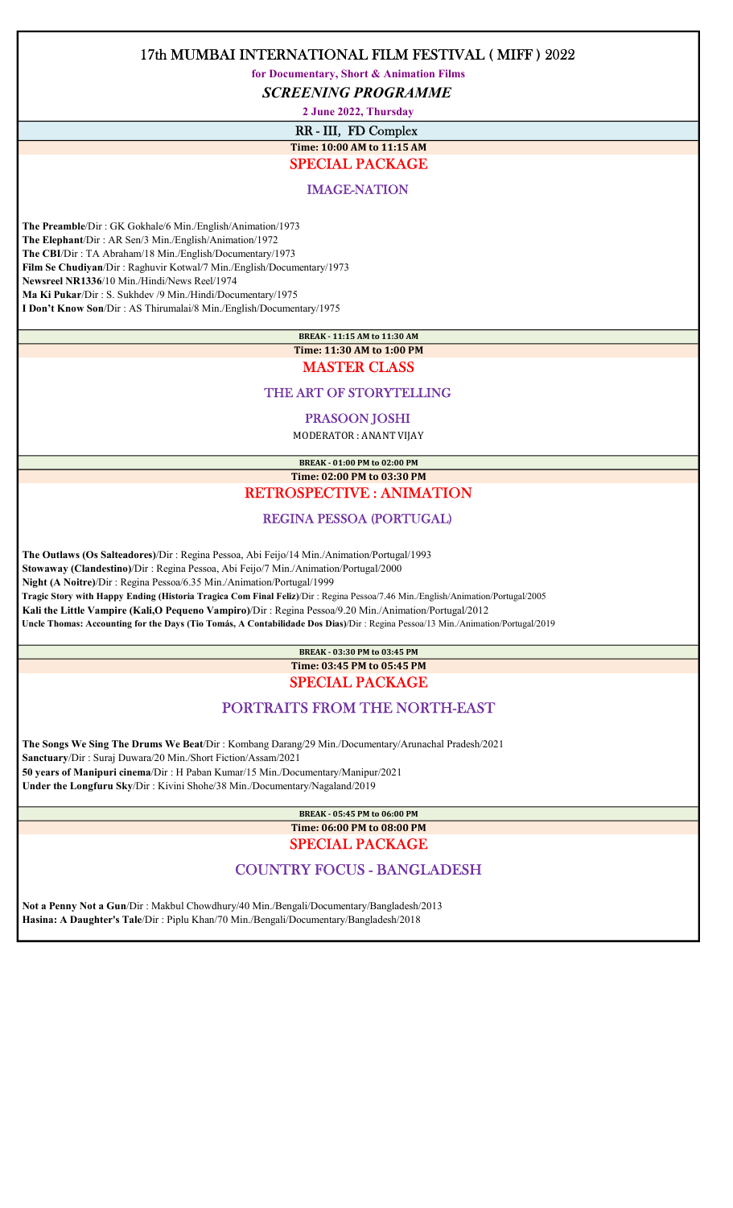for Documentary, Short & Animation Films

SCREENING PROGRAMME

2 June 2022, Thursday

RR - III, FD Complex

### Time: 10:00 AM to 11:15 AM SPECIAL PACKAGE

## IMAGE-NATION

 The Preamble/Dir : GK Gokhale/6 Min./English/Animation/1973 The Elephant/Dir : AR Sen/3 Min./English/Animation/1972 The CBI/Dir : TA Abraham/18 Min./English/Documentary/1973 Film Se Chudiyan/Dir : Raghuvir Kotwal/7 Min./English/Documentary/1973 Newsreel NR1336/10 Min./Hindi/News Reel/1974 Ma Ki Pukar/Dir : S. Sukhdev /9 Min./Hindi/Documentary/1975 I Don't Know Son/Dir : AS Thirumalai/8 Min./English/Documentary/1975

BREAK - 11:15 AM to 11:30 AM

### Time: 11:30 AM to 1:00 PM MASTER CLASS

## THE ART OF STORYTELLING

#### PRASOON JOSHI

MODERATOR : ANANT VIJAY

BREAK - 01:00 PM to 02:00 PM Time: 02:00 PM to 03:30 PM

## RETROSPECTIVE : ANIMATION

## REGINA PESSOA (PORTUGAL)

The Outlaws (Os Salteadores)/Dir : Regina Pessoa, Abi Feijo/14 Min./Animation/Portugal/1993

Stowaway (Clandestino)/Dir : Regina Pessoa, Abi Feijo/7 Min./Animation/Portugal/2000

Night (A Noitre)/Dir : Regina Pessoa/6.35 Min./Animation/Portugal/1999

Tragic Story with Happy Ending (Historia Tragica Com Final Feliz)/Dir : Regina Pessoa/7.46 Min./English/Animation/Portugal/2005

Kali the Little Vampire (Kali,O Pequeno Vampiro)/Dir : Regina Pessoa/9.20 Min./Animation/Portugal/2012

Uncle Thomas: Accounting for the Days (Tio Tomás, A Contabilidade Dos Dias)/Dir : Regina Pessoa/13 Min./Animation/Portugal/2019

### BREAK - 03:30 PM to 03:45 PM Time: 03:45 PM to 05:45 PM SPECIAL PACKAGE

# PORTRAITS FROM THE NORTH-EAST

 The Songs We Sing The Drums We Beat/Dir : Kombang Darang/29 Min./Documentary/Arunachal Pradesh/2021 Sanctuary/Dir : Suraj Duwara/20 Min./Short Fiction/Assam/2021 50 years of Manipuri cinema/Dir : H Paban Kumar/15 Min./Documentary/Manipur/2021 Under the Longfuru Sky/Dir : Kivini Shohe/38 Min./Documentary/Nagaland/2019

### BREAK - 05:45 PM to 06:00 PM Time: 06:00 PM to 08:00 PM SPECIAL PACKAGE

# COUNTRY FOCUS - BANGLADESH

 Not a Penny Not a Gun/Dir : Makbul Chowdhury/40 Min./Bengali/Documentary/Bangladesh/2013 Hasina: A Daughter's Tale/Dir : Piplu Khan/70 Min./Bengali/Documentary/Bangladesh/2018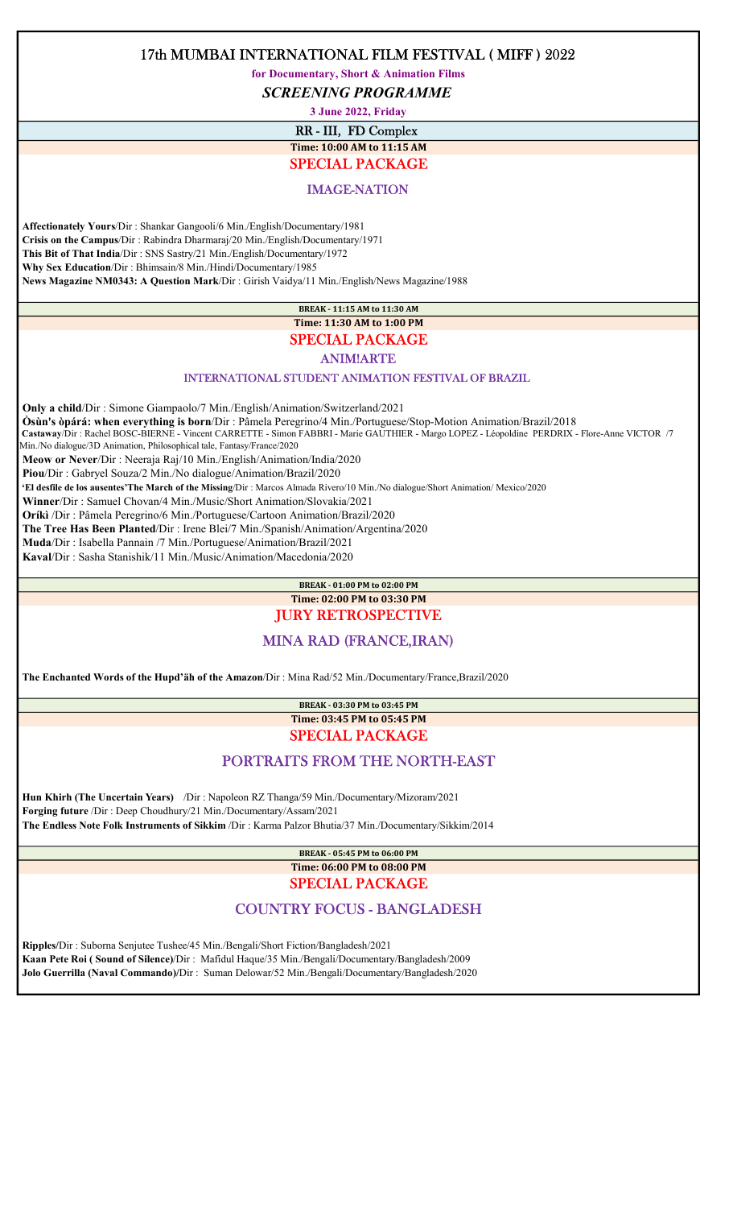for Documentary, Short & Animation Films

SCREENING PROGRAMME

3 June 2022, Friday

RR - III, FD Complex Time: 10:00 AM to 11:15 AM

# SPECIAL PACKAGE

IMAGE-NATION

 Affectionately Yours/Dir : Shankar Gangooli/6 Min./English/Documentary/1981 Crisis on the Campus/Dir : Rabindra Dharmaraj/20 Min./English/Documentary/1971 This Bit of That India/Dir : SNS Sastry/21 Min./English/Documentary/1972 Why Sex Education/Dir : Bhimsain/8 Min./Hindi/Documentary/1985 News Magazine NM0343: A Question Mark/Dir : Girish Vaidya/11 Min./English/News Magazine/1988

> BREAK - 11:15 AM to 11:30 AM Time: 11:30 AM to 1:00 PM

## SPECIAL PACKAGE

ANIM!ARTE

#### INTERNATIONAL STUDENT ANIMATION FESTIVAL OF BRAZIL

 Only a child/Dir : Simone Giampaolo/7 Min./English/Animation/Switzerland/2021 Òsùn's òpárá: when everything is born/Dir : Pâmela Peregrino/4 Min./Portuguese/Stop-Motion Animation/Brazil/2018 Castaway/Dir : Rachel BOSC-BIERNE - Vincent CARRETTE - Simon FABBRI - Marie GAUTHIER - Margo LOPEZ - Léopoldine PERDRIX - Flore-Anne VICTOR /7 Min./No dialogue/3D Animation, Philosophical tale, Fantasy/France/2020 Meow or Never/Dir : Neeraja Raj/10 Min./English/Animation/India/2020 Piou/Dir : Gabryel Souza/2 Min./No dialogue/Animation/Brazil/2020 'El desfile de los ausentes'The March of the Missing/Dir : Marcos Almada Rivero/10 Min./No dialogue/Short Animation/ Mexico/2020 Winner/Dir : Samuel Chovan/4 Min./Music/Short Animation/Slovakia/2021 Oríkì /Dir : Pâmela Peregrino/6 Min./Portuguese/Cartoon Animation/Brazil/2020 The Tree Has Been Planted/Dir : Irene Blei/7 Min./Spanish/Animation/Argentina/2020 Muda/Dir : Isabella Pannain /7 Min./Portuguese/Animation/Brazil/2021 Kaval/Dir : Sasha Stanishik/11 Min./Music/Animation/Macedonia/2020

#### BREAK - 01:00 PM to 02:00 PM Time: 02:00 PM to 03:30 PM

# JURY RETROSPECTIVE

## MINA RAD (FRANCE,IRAN)

The Enchanted Words of the Hupd'äh of the Amazon/Dir : Mina Rad/52 Min./Documentary/France,Brazil/2020

### BREAK - 03:30 PM to 03:45 PM Time: 03:45 PM to 05:45 PM SPECIAL PACKAGE

## PORTRAITS FROM THE NORTH-EAST

 Hun Khirh (The Uncertain Years) /Dir : Napoleon RZ Thanga/59 Min./Documentary/Mizoram/2021 Forging future /Dir : Deep Choudhury/21 Min./Documentary/Assam/2021 The Endless Note Folk Instruments of Sikkim /Dir : Karma Palzor Bhutia/37 Min./Documentary/Sikkim/2014

> BREAK - 05:45 PM to 06:00 PM Time: 06:00 PM to 08:00 PM SPECIAL PACKAGE

# COUNTRY FOCUS - BANGLADESH

 Ripples/Dir : Suborna Senjutee Tushee/45 Min./Bengali/Short Fiction/Bangladesh/2021 Kaan Pete Roi ( Sound of Silence)/Dir : Mafidul Haque/35 Min./Bengali/Documentary/Bangladesh/2009 Jolo Guerrilla (Naval Commando)/Dir : Suman Delowar/52 Min./Bengali/Documentary/Bangladesh/2020